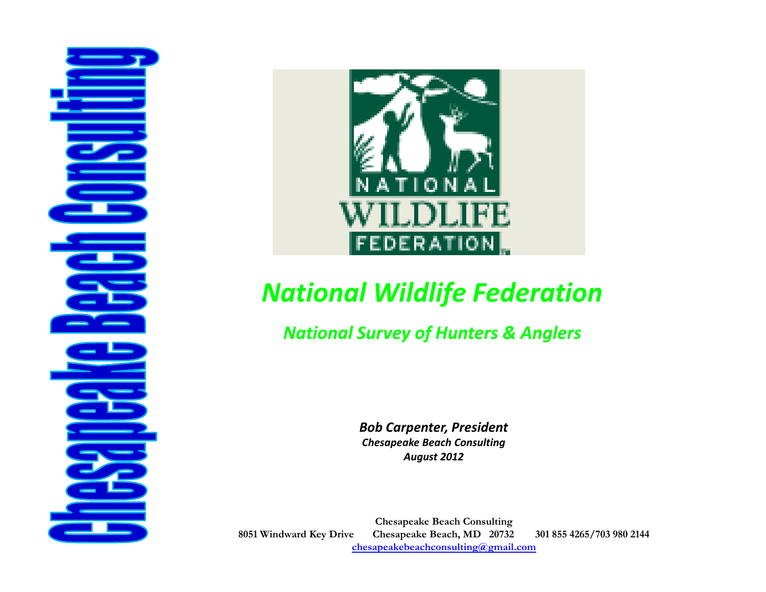Ŧ



## *National Wildlife Federation*

*National Survey of Hunters & Anglers*

*Bob Carpenter, President Chesapeake Beach Consulting August 2012*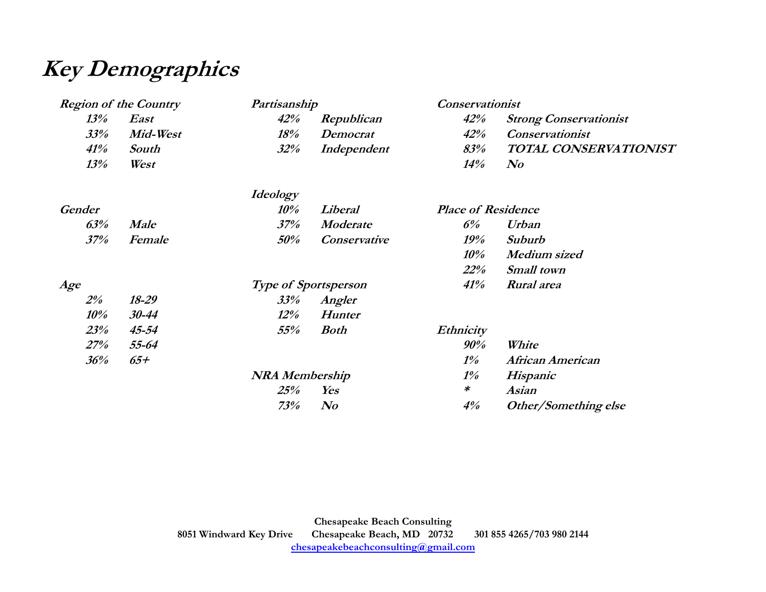### **Key Demographics**

|            | <b>Region of the Country</b> | Partisanship                |                | <b>Conservationist</b>    |                               |
|------------|------------------------------|-----------------------------|----------------|---------------------------|-------------------------------|
| $13\%$     | <b>East</b>                  | 42%                         | Republican     | 42%                       | <b>Strong Conservationist</b> |
| $33\%$     | Mid-West                     | 18%                         | Democrat       | 42%                       | <b>Conservationist</b>        |
| 41%        | <b>South</b>                 | 32%                         | Independent    | 83%                       | TOTAL CONSERVATIONIST         |
| 13%        | West                         |                             |                | 14%                       | $\bm{N\!o}$                   |
|            |                              | <b>Ideology</b>             |                |                           |                               |
| Gender     |                              | $10\%$                      | Liberal        | <b>Place of Residence</b> |                               |
| 63%        | <b>Male</b>                  | 37%                         | Moderate       | 6%                        | Urban                         |
| 37%        | Female                       | 50%                         | Conservative   | 19%                       | Suburb                        |
|            |                              |                             |                | $10\%$                    | Medium sized                  |
|            |                              |                             |                | $22\%$                    | <b>Small</b> town             |
| Age        |                              | <b>Type of Sportsperson</b> |                | 41%                       | <b>Rural</b> area             |
| $2\%$      | $18 - 29$                    | 33%                         | Angler         |                           |                               |
| <b>10%</b> | $30 - 44$                    | $12\%$                      | <b>Hunter</b>  |                           |                               |
| 23%        | $45 - 54$                    | 55%                         | <b>Both</b>    | Ethnicity                 |                               |
| 27%        | 55-64                        |                             |                | 90%                       | White                         |
| 36%        | $65+$                        |                             |                | $1\%$                     | African American              |
|            |                              | <b>NRA Membership</b>       |                | $1\%$                     | Hispanic                      |
|            |                              | 25%                         | Yes            | ∗                         | Asian                         |
|            |                              | 73%                         | $\mathcal{N}o$ | 4%                        | <b>Other/Something else</b>   |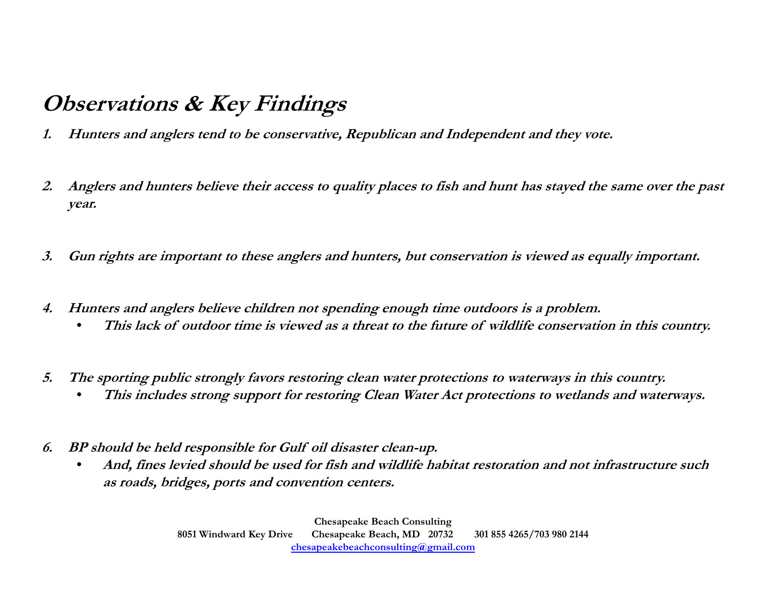### **Observations & Key Findings**

- **1. Hunters and anglers tend to be conservative, Republican and Independent and they vote.**
- **22.**2. Anglers and hunters believe their access to quality places to fish and hunt has stayed the same over the past Anglers and hunters believe their access to quality places to fish and hunt has stayed the same over the past<br>year.
- **3.**Gun rights are important to these anglers and hunters, but conservation is viewed as equally important.
- **4. Hunters and anglers believe children not spending enough time outdoors is a problem.**
	- •**This lack of outdoor time is viewed as a threat to the future of wildlife conservation in this country.**
- **5. The sporting public strongly favors restoring clean water protections to waterways in this country.**
	- •**This includes strong support for restoring Clean Water Act protections to wetlands and waterways.**
- **6. BP should be held responsible for Gulf oil disaster clean-up.**
	- • **And, fines levied should be used for fish and wildlife habitat restoration and not infrastructure such as roads bridges ports and convention centers roads, bridges, centers.**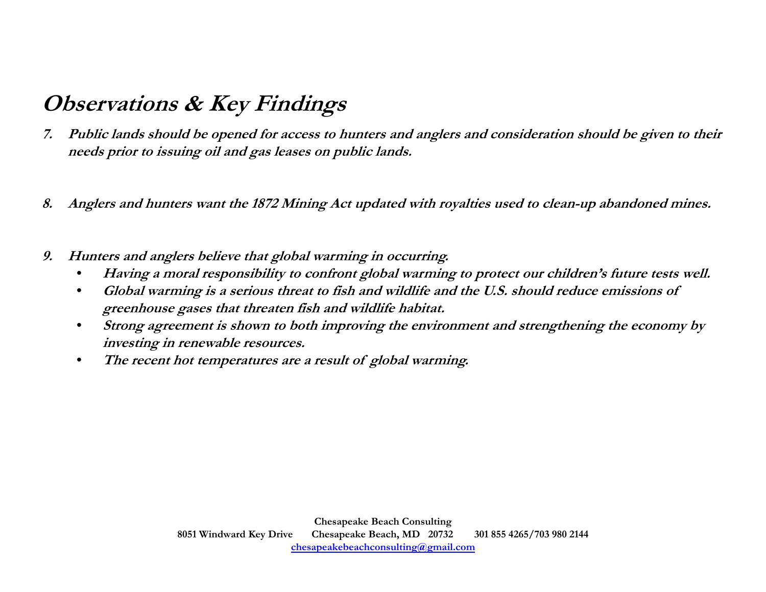### **Observations & Key Findings**

- **7. Public lands should be opened for access to hunters and anglers and consideration should be given to their needs prior to issuing oil and gas leases on public lands.**
- **8. Anglers and hunters want the 1872 Mining Act updated with royalties used to clean-up abandoned mines.**
- **9. Hunters and anglers believe that global warming in occurring occurring.** 
	- •**Having a moral responsibility to confront global warming to protect our children's future tests well.**
	- • **Global warming is a serious threat to fish and wildlife and the U.S. should reduce emissions of greenhouse gases that threaten fish and wildlife habitat.**
	- •**Strong agreement is shown to both improving the environment and strengthening the economy by investing in renewable resources.**
	- •**The recent hot temperatures are a result of global warming.**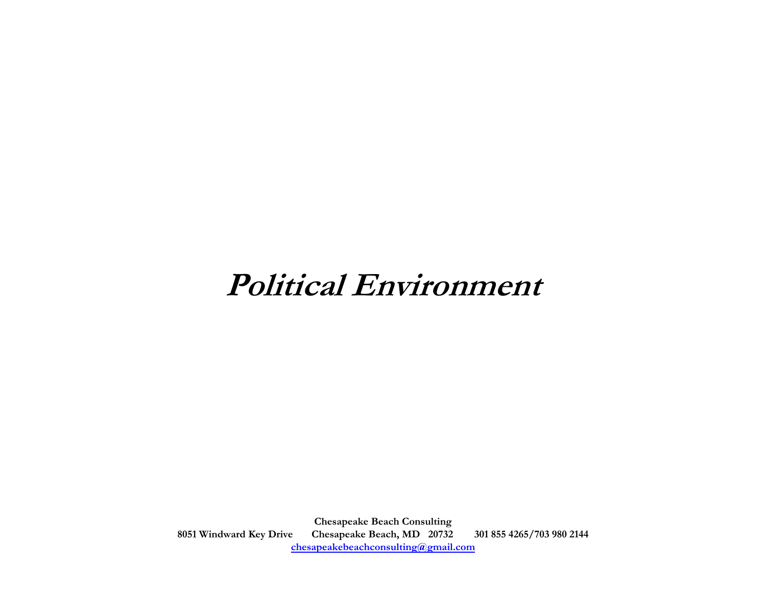## **Political Environment**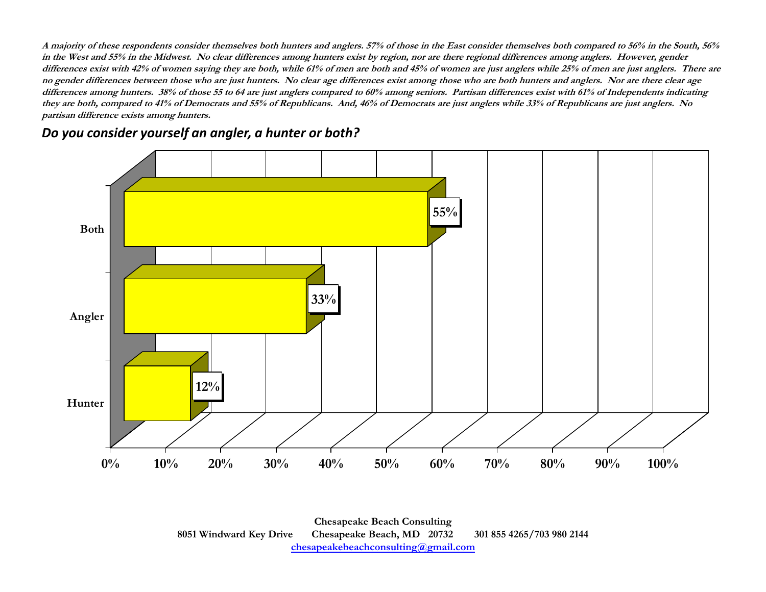**A majority of these respondents consider themselves both hunters and anglers. 57% of those in the East consider themselves both compared to 56% in the South, 56% in the West and 55% in the Midwest. No clear differences among hunters exist by region, nor are there regional differences among anglers. However, gender differences exist with 42% of women saying they are both, while 61% of men are both and 45% of women are just anglers while 25% of men are just anglers. There are no gender differences between those who are just hunters. No clear age differences exist among those who are both hunters and anglers. Nor are there clear age differences among hunters. 38% of those 55 to 64 are just anglers compared to 60% among seniors. Partisan differences exist with 61% of Independents indicating they are both, compared to 41% of Democrats and 55% of Republicans. And, 46% of Democrats are just anglers while 33% of Republicans are just anglers. No partisan difference exists among hunters.**

#### *Do you consider yourself an angler, <sup>a</sup> hunter or both?*

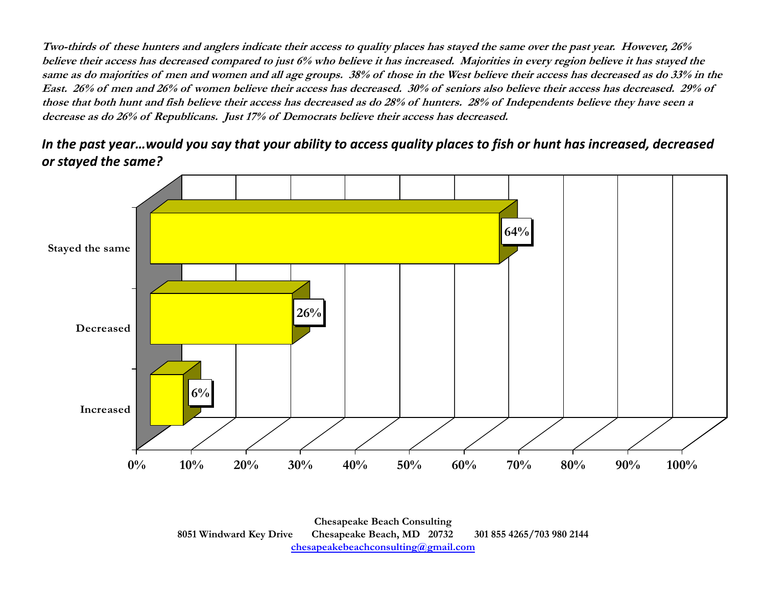**Two-thirds of these hunters and anglers indicate their access to quality places has stayed the same over the past year. However, 26% believe their access has decreased compared to just 6% who believe it has increased. Majorities in every region believe it has stayed the same as do majorities of men and women and all age groups. 38% of those in the West believe their access has decreased as do 33% in the East. 26% of men and 26% of women believe their access has decreased. 30% of seniors also believe their access has decreased. 29% of those that both hunt and fish believe their access has decreased as do 28% of hunters. 28% of Independents believe they have seen a decrease as do 26% of Republicans. Just 17% of Democrats believe their access has decreased.** 

### In the past year…would you say that your ability to access quality places to fish or hunt has increased, decreased *or stayed the same?*



**8051 Windward Key Drive Chesapeake Beach, MD 20732 301 855 4265/703 980 2144 chesapeakebeachconsulting@gmail.com**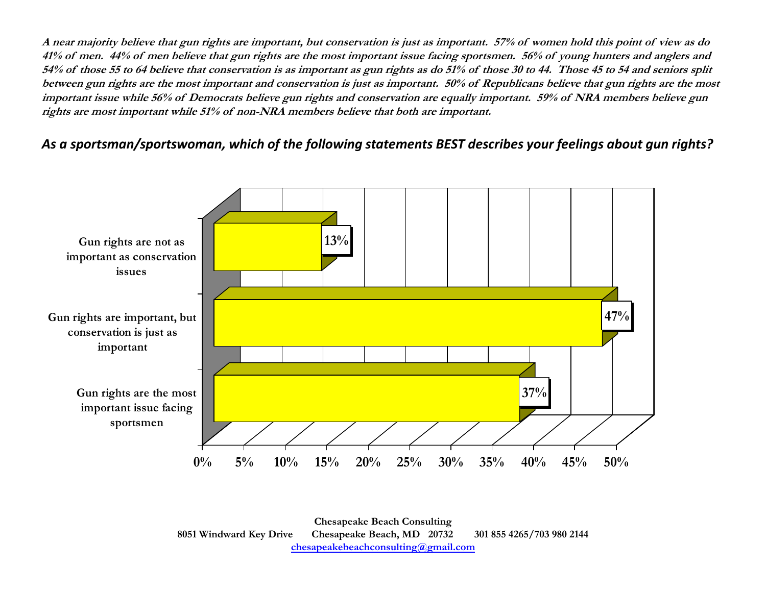**A near majority believe that gun rights are important, but conservation is just as important. 57% of women hold this point of view as do 41% of men. 44% of men believe that gun rights are the most important issue facing sportsmen. 56% of young hunters and anglers and 54% of those 55 to 64 believe that conservation is as important as gun rights as do 51% of those 30 to 44. Those 45 to 54 and seniors split between gun rights are the most important and conservation is just as important. 50% of Republicans believe that gun rights are the most important issue while 56% of Democrats believe gun rights and conservation are equally important. 59% of NRA members believe gun**  rights are most important while 51% of non-NRA members believe that both are important.

#### *As a sportsman/sportswoman, which of the following statements BEST describes your feelings about gun rights?*

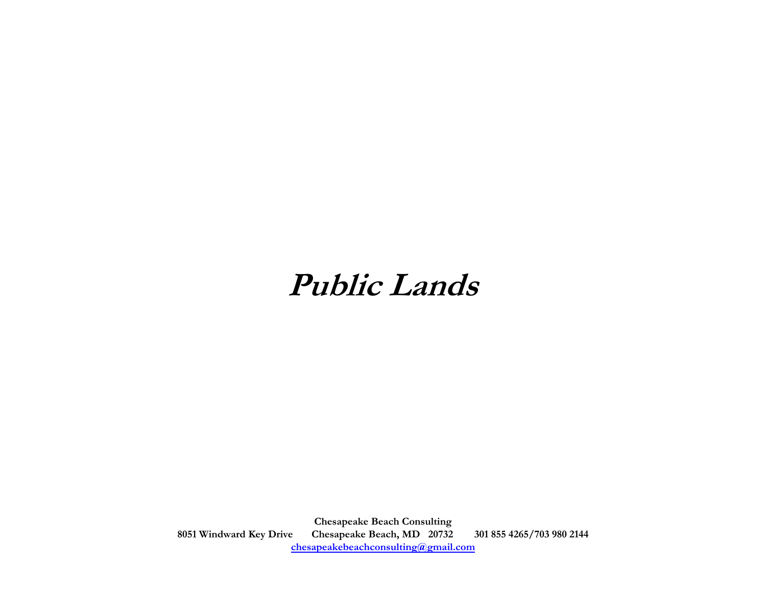## **Public Lands**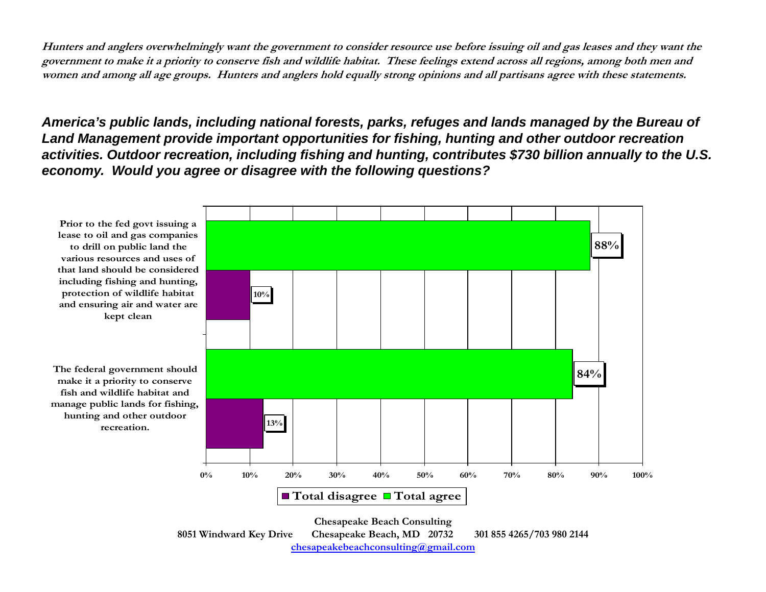**Hunters and anglers overwhelmingly want the government to consider resource use before issuing oil and gas leases and they want the government to make it a priority to conserve fish and wildlife habitat. These feelings extend across all regions, among both men and women and among all age groups. Hunters and anglers hold equally strong opinions and all partisans agree with these statements.**

*America's public lands, including national forests, parks, refuges and lands managed by the Bureau of Land Management provide important opportunities for fishing, hunting and other outdoor recreation activities. Outdoor recreation, including fishing and hunting, contributes \$730 billion annually to the U.S. economy. Would you agree or disagree with the following questions?*



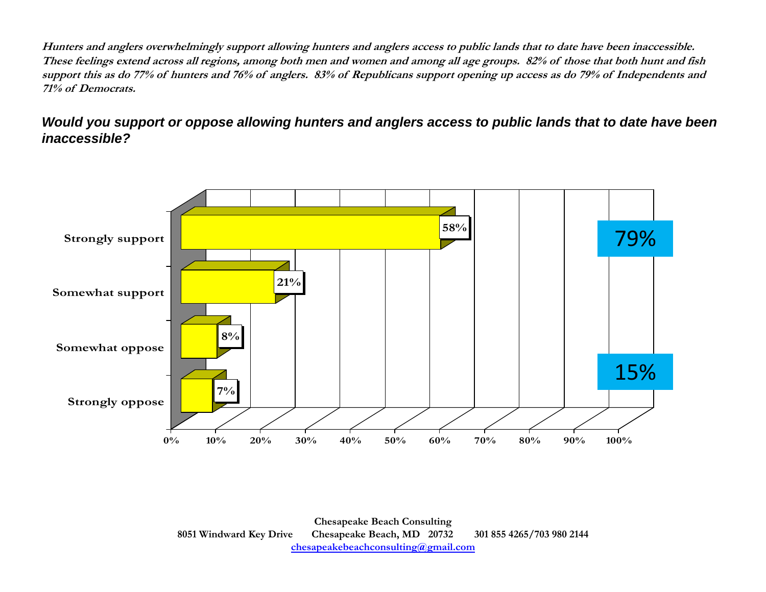**Hunters and anglers overwhelmingly support allowing hunters and anglers access to public lands that to date have been inaccessible. These feelings extend across all regions, among both men and women and among all age groups. 82% of those that both hunt and fish support this as do 77% of hunters and 76% of anglers. 83% of Republicans support opening up access as do 79% of Independents and 71% of Democrats.**

#### *Would you support or oppose allowing hunters and anglers access to public lands that to date have been inaccessible?*

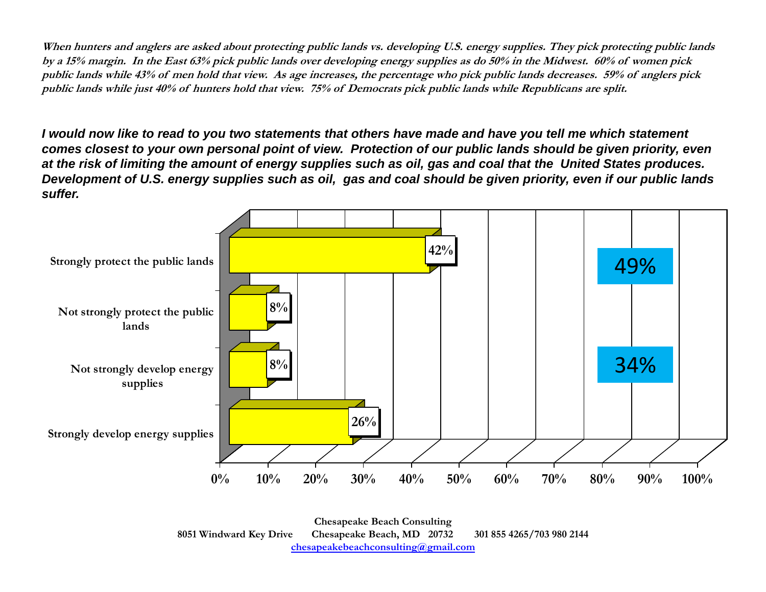**When hunters and anglers are asked about protecting public lands vs. developing U.S. energy supplies. They pick protecting public lands by a 15% margin. In the East 63% pick public lands over developing energy supplies as do 50% in the Midwest. 60% of women pick public lands while 43% of men hold that view. As age increases, the percentage who pick public lands decreases. 59% of anglers pick public lands while just 40% of hunters hold that view. 75% of Democrats pick public lands while Republicans are split.** 

*I would now like to read to you two statements that others have made and have you tell me which statement comes closest to your own personal point of view. Protection of our public lands should be given priority, even at the risk of limiting the amount of energy supplies such as oil, gas and coal that the United States produces.*  Development of U.S. energy supplies such as oil, gas and coal should be given priority, even if our public lands *suffer.*

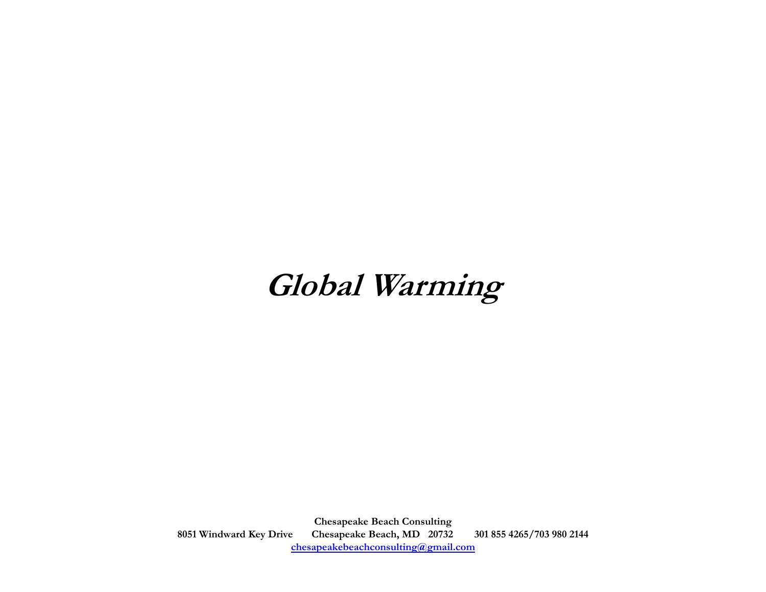# **Global Warming**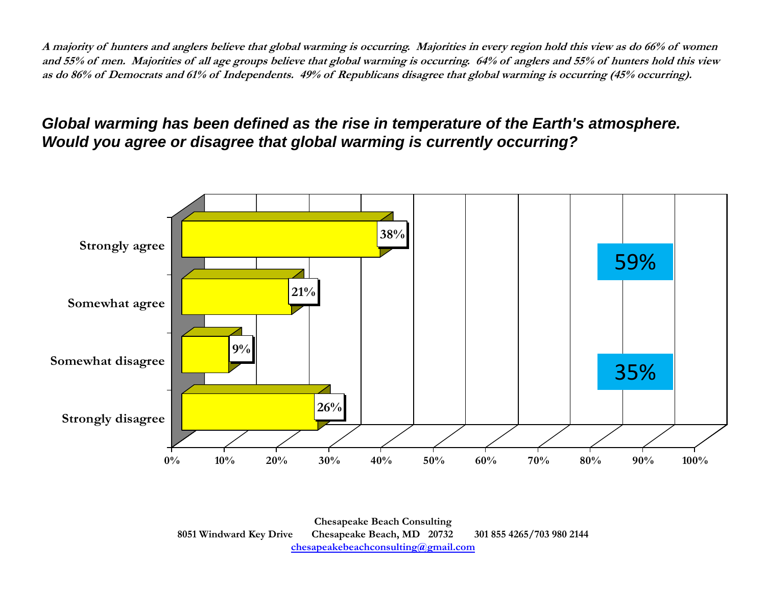**A majority of hunters and anglers believe that global warming is occurring. Majorities in every region hold this view as do 66% of women and 55% of men. Majorities of all age groups believe that global warming is occurring. 64% of anglers and 55% of hunters hold this view as do 86% of Democrats and 61% of Independents. 49% of Republicans disagree that global warming is occurring (45% occurring).** 

### *Global warming has been defined as the rise in temperature of the Earth's atmosphere. Would you agree or disagree that global warming is currently occurring?*

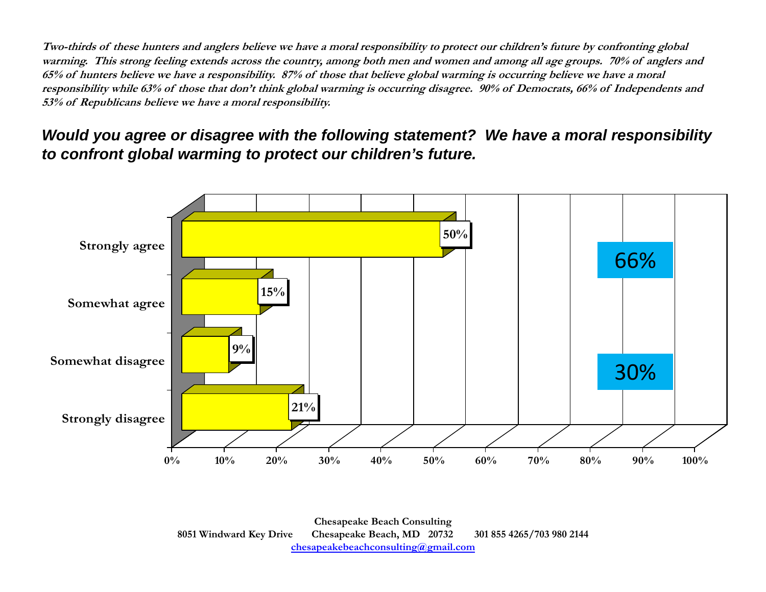**Two-thirds of these hunters and anglers believe we have a moral responsibility to protect our children's future by confronting global warming. This strong feeling extends across the country, among both men and women and among all age groups. 70% of anglers and 65% of hunters believe we have a responsibility. 87% of those that believe global warming is occurring believe we have a moral responsibility while 63% of those that don't think global warming is occurring disagree. 90% of Democrats, 66% of Independents and 53% of Republicans believe we have a moral responsibility.**

### *Would you agree or disagree with the following statement? We have a moral responsibility to confront global warming to protect our children's future.*

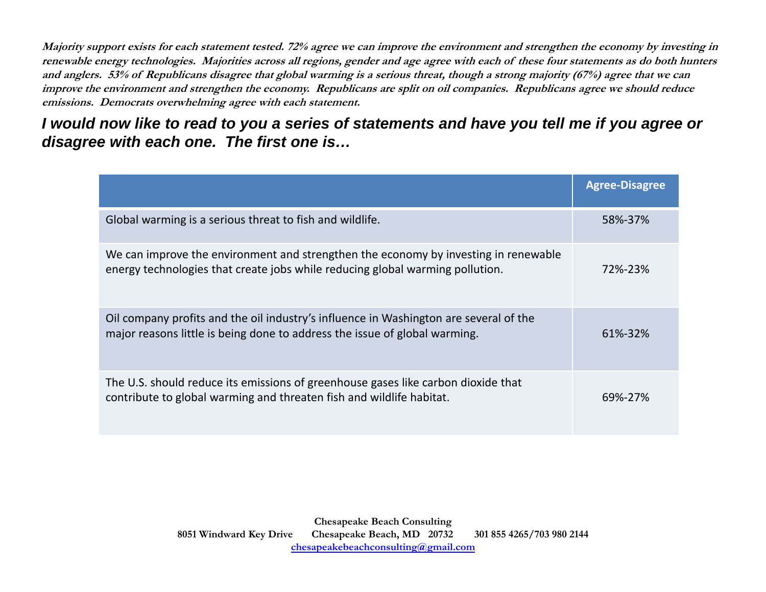**Majority support exists for each statement tested. 72% agree we can improve the environment and strengthen the economy by investing in renewable energy technologies. Majorities across all regions, gender and age agree with each of these four statements as do both hunters and anglers. 53% of Republicans disagree that global warming is a serious threat, though a strong majority (67%) agree that we can improve the environment and strengthen the economy. Republicans are split on oil companies. Republicans agree we should reduce emissions. Democrats overwhelming agree with each statement.**

*I would now like to read to you a series of statements and have you tell me if you agree or disagree with each one. The first one is…*

|                                                                                                                                                                      | <b>Agree-Disagree</b> |
|----------------------------------------------------------------------------------------------------------------------------------------------------------------------|-----------------------|
| Global warming is a serious threat to fish and wildlife.                                                                                                             | 58%-37%               |
| We can improve the environment and strengthen the economy by investing in renewable<br>energy technologies that create jobs while reducing global warming pollution. | 72%-23%               |
| Oil company profits and the oil industry's influence in Washington are several of the<br>major reasons little is being done to address the issue of global warming.  | 61%-32%               |
| The U.S. should reduce its emissions of greenhouse gases like carbon dioxide that<br>contribute to global warming and threaten fish and wildlife habitat.            | 69%-27%               |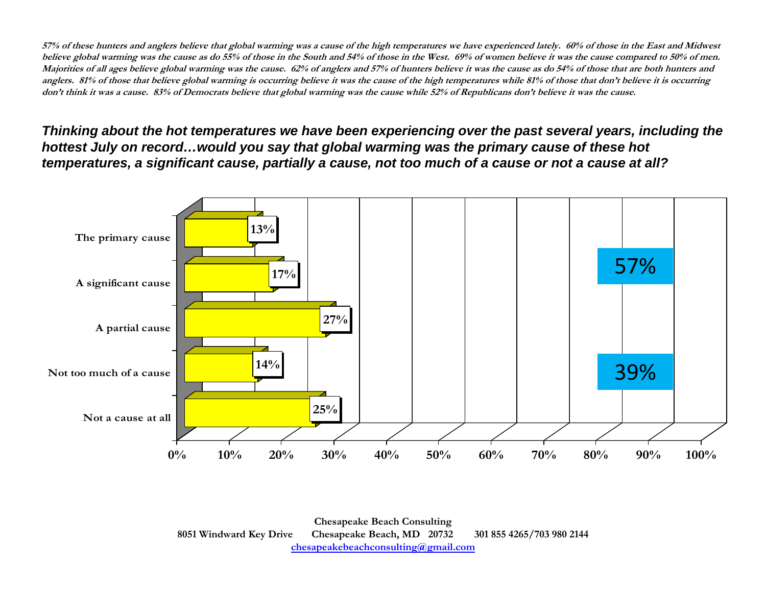**57% of these hunters and anglers believe that global warming was a cause of the high temperatures we have experienced lately. 60% of those in the East and Midwest believe global warming was the cause as do 55% of those in the South and 54% of those in the West. 69% of women believe it was the cause compared to 50% of men. Majorities of all ages believe global warming was the cause. 62% of anglers and 57% of hunters believe it was the cause as do 54% of those that are both hunters and anglers. 81% of those that believe global warming is occurring believe it was the cause of the high temperatures while 81% of those that don't believe it is occurring don't think it was a cause. 83% of Democrats believe that global warming was the cause while 52% of Republicans don't believe it was the cause.**

*Thinking about the hot temperatures we have been experiencing over the past several years, including the hottest July on record…would you say that global warming was the primary cause of these hot temperatures, a significant cause, partially a cause, not too much of a cause or not a cause at all?*

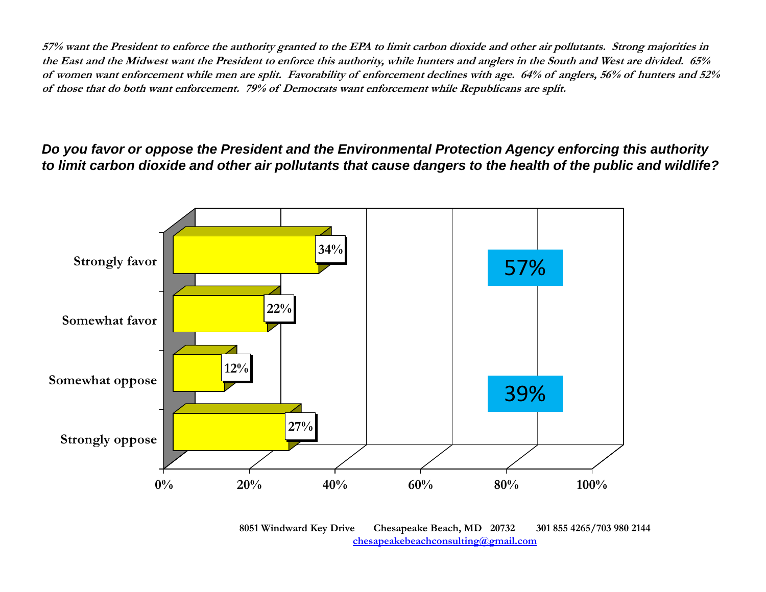**57% want the President to enforce the authority granted to the EPA to limit carbon dioxide and other air pollutants. Strong majorities in the East and the Midwest want the President to enforce this authority, while hunters and anglers in the South and West are divided. 65% of women want enforcement while men are split. Favorability of enforcement declines with age. 64% of anglers, 56% of hunters and 52% of those that do both want enforcement. 79% of Democrats want enforcement while Republicans are split.** 

*Do you favor or oppose the President and the Environmental Protection Agency enforcing this authority to limit carbon dioxide and other air pollutants that cause dangers to the health of the public and wildlife?*



**<sup>8051</sup> Windward Key Drive Chesapeake Beach, MD 20732 301 855 4265/703 980 2144 chesapeakebeachconsulting@gmail.com**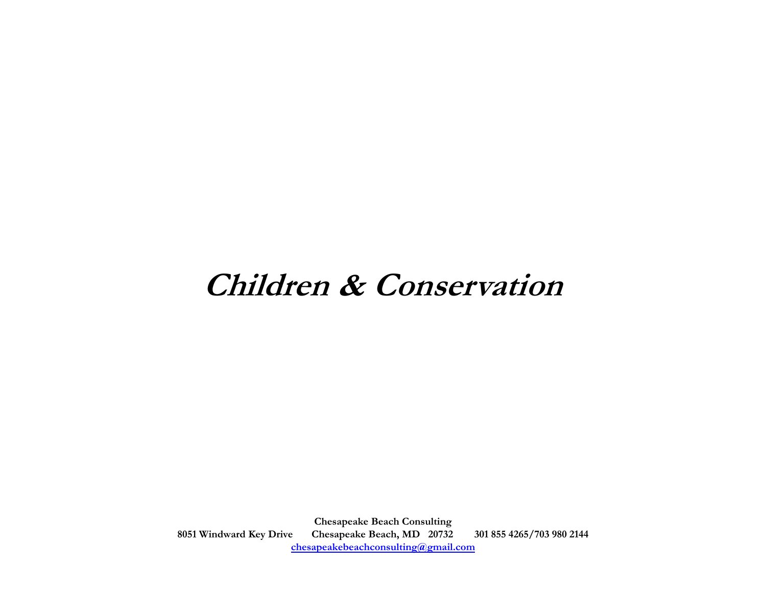### **Children & Conservation**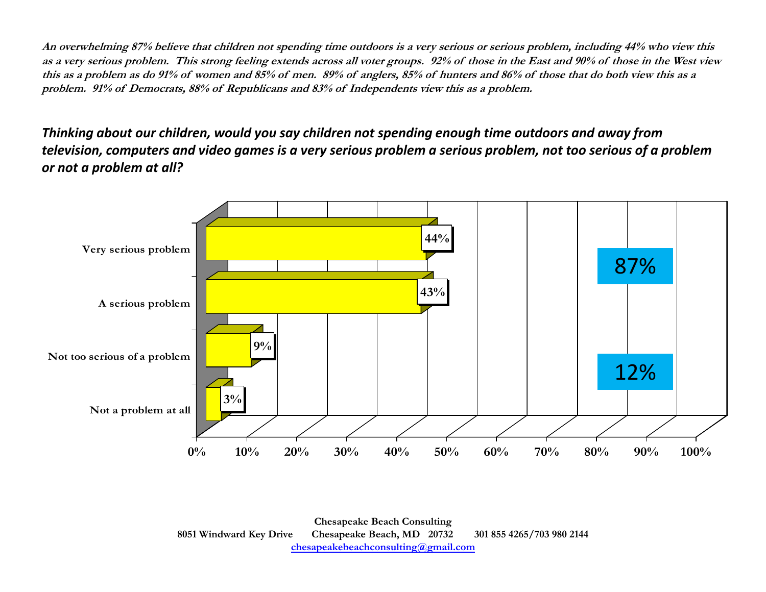**An overwhelming 87% believe that children not spending time outdoors is a very serious or serious problem, including 44% who view this as a very serious problem. This strong feeling extends across all voter groups. 92% of those in the East and 90% of those in the West view this as a problem as do 91% of women and 85% of men. 89% of anglers, 85% of hunters and 86% of those that do both view this as a problem. 91% of Democrats, 88% of Republicans and 83% of Independents view this as a problem.** 

*Thinking about our children, would you say children not spending enough time outdoors and away from* television, computers and video games is a very serious problem a serious problem, not too serious of a problem *or not a problem at all?*



**8051 Windward Key Drive Chesapeake Beach, MD 20732 301 855 4265/703 980 2144 chesapeakebeachconsulting@gmail.com**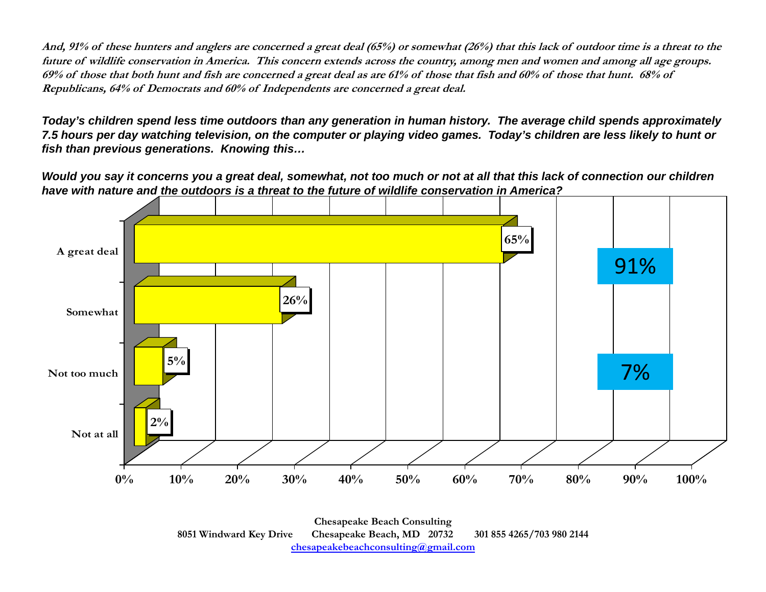**And, 91% of these hunters and anglers are concerned a great deal (65%) or somewhat (26%) that this lack of outdoor time is a threat to the future of wildlife conservation in America. This concern extends across the country, among men and women and among all age groups. 69% of those that both hunt and fish are concerned a great deal as are 61% of those that fish and 60% of those that hunt. 68% of Republicans, 64% of Democrats and 60% of Independents are concerned a great deal.** 

*Today's children spend less time outdoors than any generation in human history. The average child spends approximately 7.5 hours per day watching television, on the computer or playing video games. Today's children are less likely to hunt or fish than previous generations. Knowing this…*

*Would you say it concerns you a great deal, somewhat, not too much or not at all that this lack of connection our children have with nature and the outdoors is a threat to the future of wildlife conservation in America?*

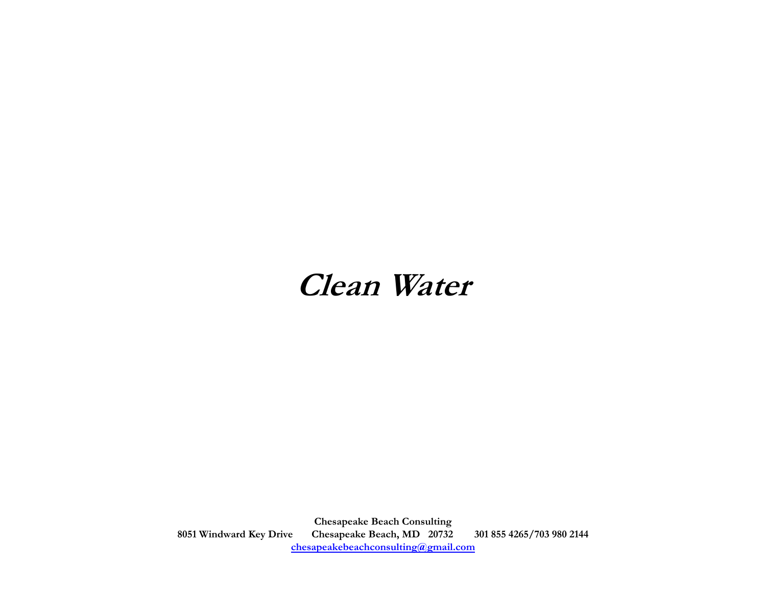# **Clean Water**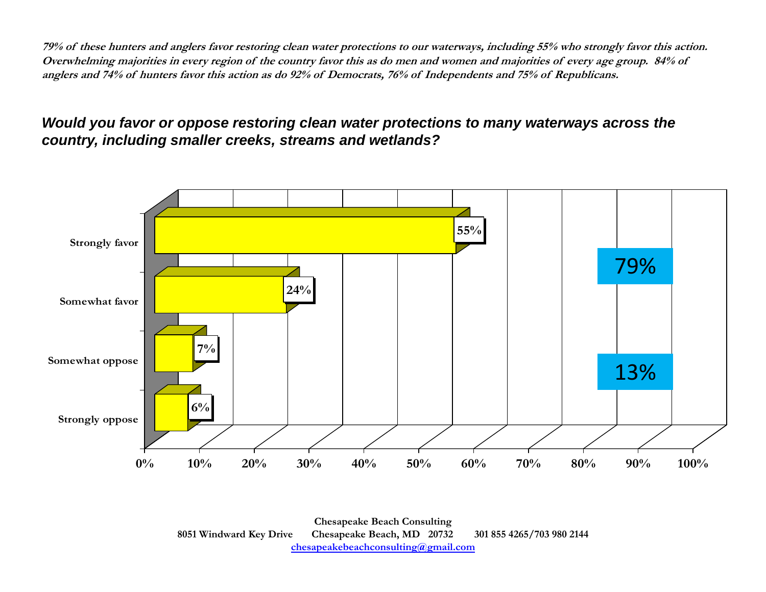**79% of these hunters and anglers favor restoring clean water protections to our waterways, including 55% who strongly favor this action. Overwhelming majorities in every region of the country favor this as do men and women and majorities of every age group. 84% of anglers and 74% of hunters favor this action as do 92% of Democrats, 76% of Independents and 75% of Republicans.**

### *Would you favor or oppose restoring clean water protections to many waterways across the country, including smaller creeks, streams and wetlands?*

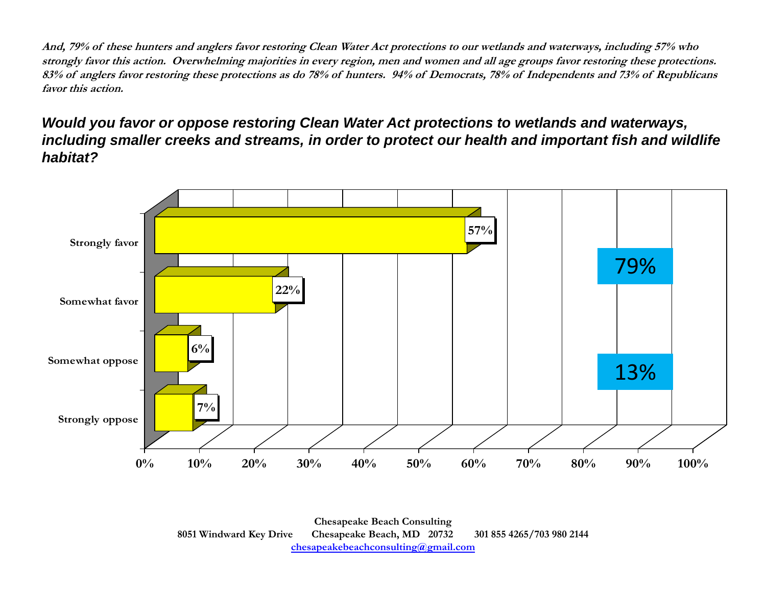**And, 79% of these hunters and anglers favor restoring Clean Water Act protections to our wetlands and waterways, including 57% who strongly favor this action. Overwhelming majorities in every region, men and women and all age groups favor restoring these protections. 83% of anglers favor restoring these protections as do 78% of hunters. 94% of Democrats, 78% of Independents and 73% of Republicans favor this action.** 

### *Would you favor or oppose restoring Clean Water Act protections to wetlands and waterways, including smaller creeks and streams, in order to protect our health and important fish and wildlife habitat?*

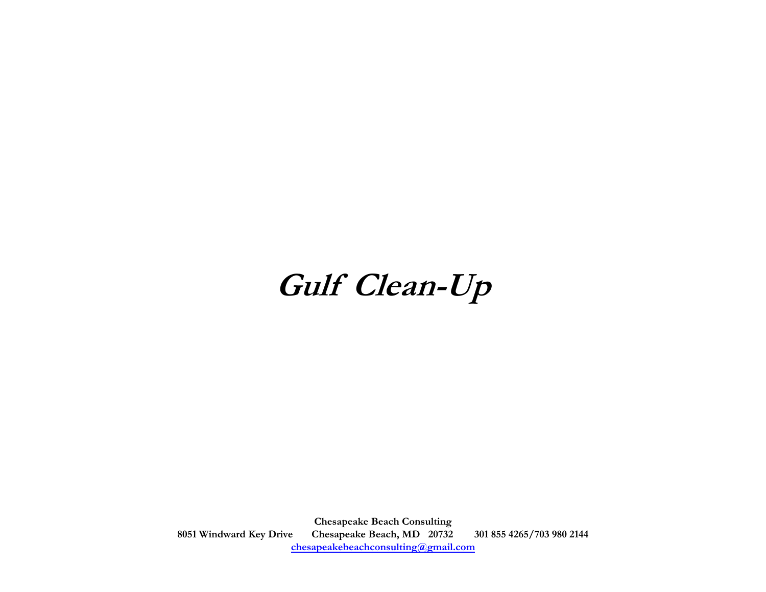# **Gulf Clean-Up**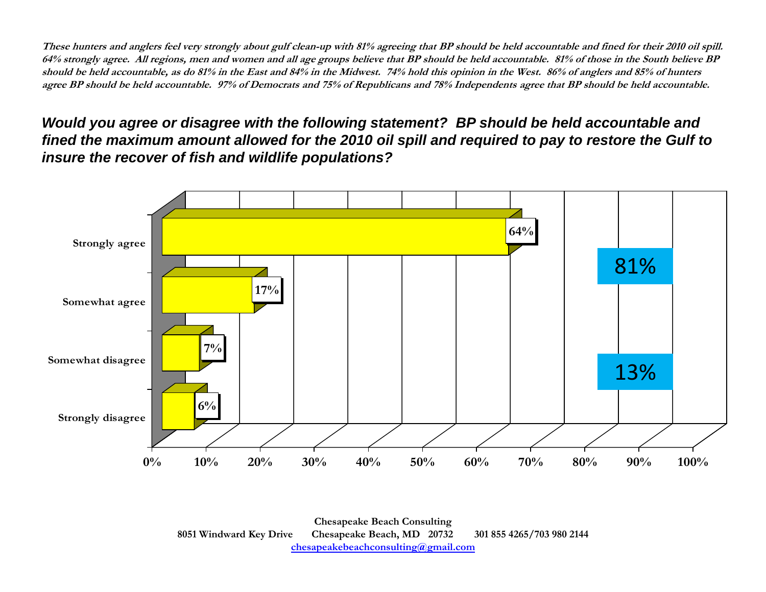**These hunters and anglers feel very strongly about gulf clean-up with 81% agreeing that BP should be held accountable and fined for their 2010 oil spill. 64% strongly agree. All regions, men and women and all age groups believe that BP should be held accountable. 81% of those in the South believe BP should be held accountable, as do 81% in the East and 84% in the Midwest. 74% hold this opinion in the West. 86% of anglers and 85% of hunters agree BP should be held accountable. 97% of Democrats and 75% of Republicans and 78% Independents agree that BP should be held accountable.**

*Would you agree or disagree with the following statement? BP should be held accountable and fined the maximum amount allowed for the 2010 oil spill and required to pay to restore the Gulf to insure the recover of fish and wildlife populations?*

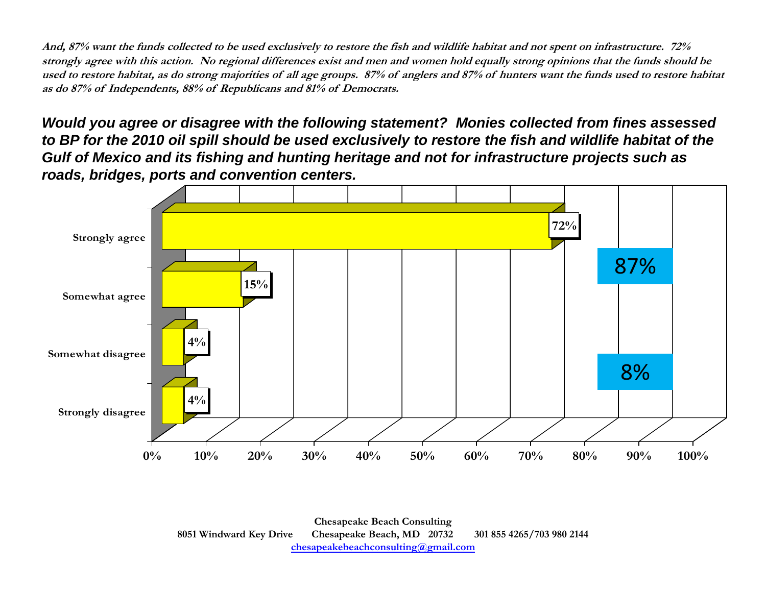**And, 87% want the funds collected to be used exclusively to restore the fish and wildlife habitat and not spent on infrastructure. 72% strongly agree with this action. No regional differences exist and men and women hold equally strong opinions that the funds should be used to restore habitat, as do strong majorities of all age groups. 87% of anglers and 87% of hunters want the funds used to restore habitat as do 87% of Independents, 88% of Republicans and 81% of Democrats.**

*Would you agree or disagree with the following statement? Monies collected from fines assessed to BP for the 2010 oil spill should be used exclusively to restore the fish and wildlife habitat of the Gulf of Mexico and its fishing and hunting heritage and not for infrastructure projects such as roads, bridges, ports and convention centers.*

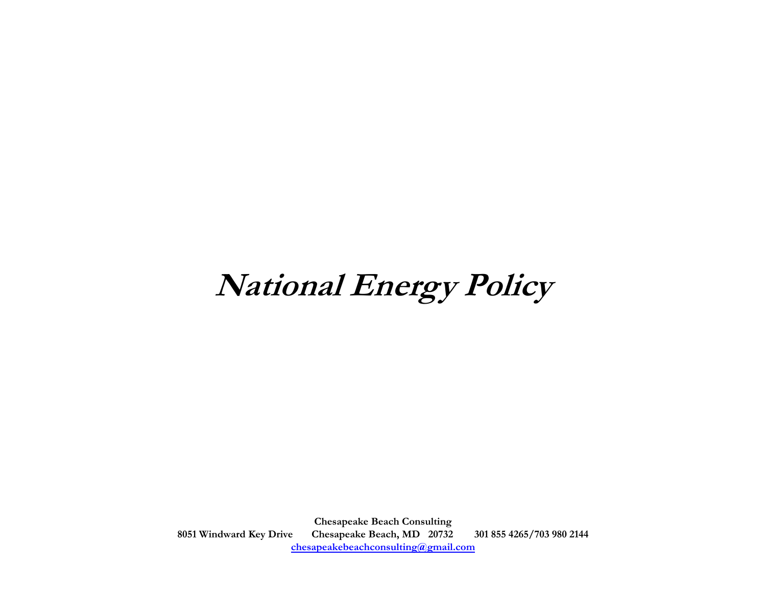# **National Energy Policy**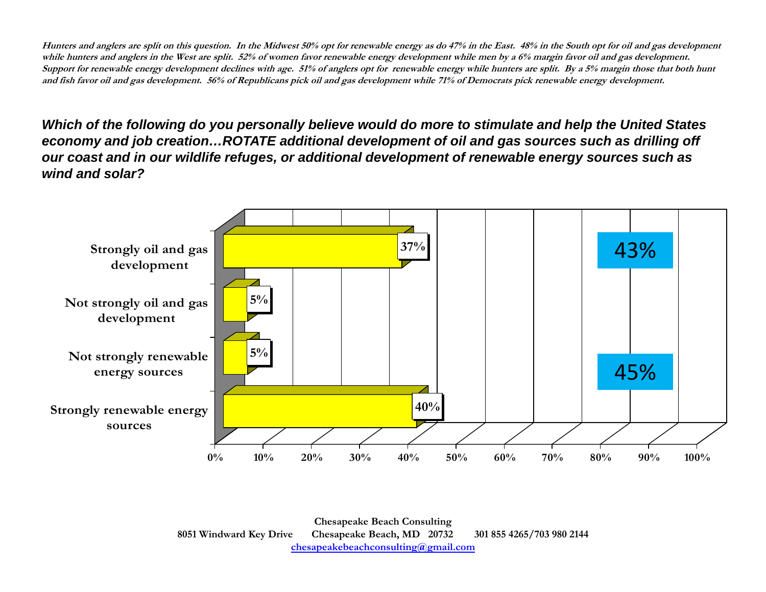**Hunters and anglers are split on this question. In the Midwest 50% opt for renewable energy as do 47% in the East. 48% in the South opt for oil and gas development while hunters and anglers in the West are split. 52% of women favor renewable energy development while men by a 6% margin favor oil and gas development.**  Support for renewable energy development declines with age. 51% of anglers opt for renewable energy while hunters are split. By a 5% margin those that both hunt **and fish favor oil and gas development. 56% of Republicans pick oil and gas development while 71% of Democrats pick renewable energy development.**

*Which of the following do you personally believe would do more to stimulate and help the United States economy and job creation…ROTATE additional development of oil and gas sources such as drilling off our coast and in our wildlife refuges, or additional development of renewable energy sources such as wind and solar?*

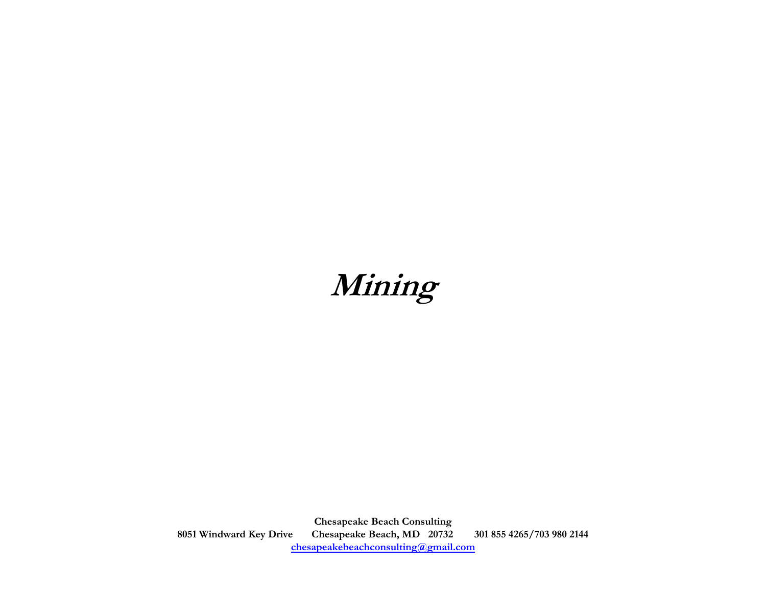# **Mining**